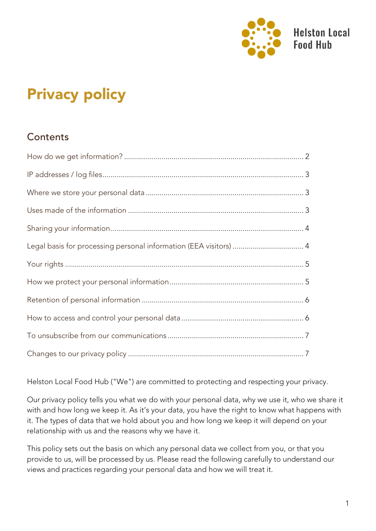

# Privacy policy

#### **Contents**

| Legal basis for processing personal information (EEA visitors)  4 |  |
|-------------------------------------------------------------------|--|
|                                                                   |  |
|                                                                   |  |
|                                                                   |  |
|                                                                   |  |
|                                                                   |  |
|                                                                   |  |

Helston Local Food Hub ("We") are committed to protecting and respecting your privacy.

Our privacy policy tells you what we do with your personal data, why we use it, who we share it with and how long we keep it. As it's your data, you have the right to know what happens with it. The types of data that we hold about you and how long we keep it will depend on your relationship with us and the reasons why we have it.

This policy sets out the basis on which any personal data we collect from you, or that you provide to us, will be processed by us. Please read the following carefully to understand our views and practices regarding your personal data and how we will treat it.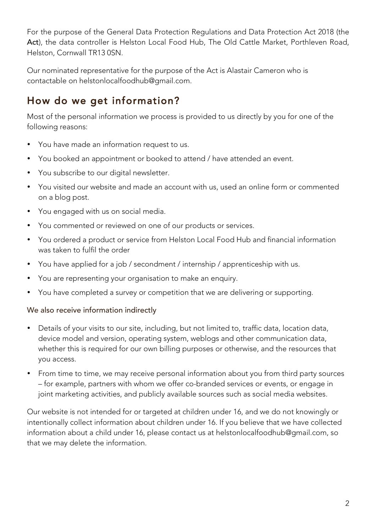<span id="page-1-0"></span>For the purpose of the General Data Protection Regulations and Data Protection Act 2018 (the Act), the data controller is Helston Local Food Hub, The Old Cattle Market, Porthleven Road, Helston, Cornwall TR13 0SN.

Our nominated representative for the purpose of the Act is Alastair Cameron who is contactable on helstonlocalfoodhub@gmail.com.

#### How do we get information?

Most of the personal information we process is provided to us directly by you for one of the following reasons:

- You have made an information request to us.
- You booked an appointment or booked to attend / have attended an event.
- You subscribe to our digital newsletter.
- You visited our website and made an account with us, used an online form or commented on a blog post.
- You engaged with us on social media.
- You commented or reviewed on one of our products or services.
- You ordered a product or service from Helston Local Food Hub and financial information was taken to fulfil the order
- You have applied for a job / secondment / internship / apprenticeship with us.
- You are representing your organisation to make an enquiry.
- You have completed a survey or competition that we are delivering or supporting.

#### We also receive information indirectly

- Details of your visits to our site, including, but not limited to, traffic data, location data, device model and version, operating system, weblogs and other communication data, whether this is required for our own billing purposes or otherwise, and the resources that you access.
- From time to time, we may receive personal information about you from third party sources – for example, partners with whom we offer co-branded services or events, or engage in joint marketing activities, and publicly available sources such as social media websites.

Our website is not intended for or targeted at children under 16, and we do not knowingly or intentionally collect information about children under 16. If you believe that we have collected information about a child under 16, please contact us at helstonlocalfoodhub@gmail.com, so that we may delete the information.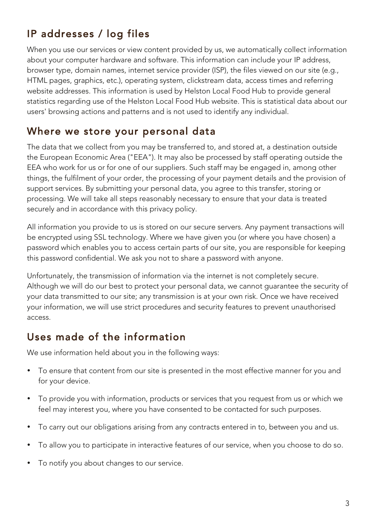# <span id="page-2-0"></span>IP addresses / log files

When you use our services or view content provided by us, we automatically collect information about your computer hardware and software. This information can include your IP address, browser type, domain names, internet service provider (ISP), the files viewed on our site (e.g., HTML pages, graphics, etc.), operating system, clickstream data, access times and referring website addresses. This information is used by Helston Local Food Hub to provide general statistics regarding use of the Helston Local Food Hub website. This is statistical data about our users' browsing actions and patterns and is not used to identify any individual.

#### Where we store your personal data

The data that we collect from you may be transferred to, and stored at, a destination outside the European Economic Area ("EEA"). It may also be processed by staff operating outside the EEA who work for us or for one of our suppliers. Such staff may be engaged in, among other things, the fulfilment of your order, the processing of your payment details and the provision of support services. By submitting your personal data, you agree to this transfer, storing or processing. We will take all steps reasonably necessary to ensure that your data is treated securely and in accordance with this privacy policy.

All information you provide to us is stored on our secure servers. Any payment transactions will be encrypted using SSL technology. Where we have given you (or where you have chosen) a password which enables you to access certain parts of our site, you are responsible for keeping this password confidential. We ask you not to share a password with anyone.

Unfortunately, the transmission of information via the internet is not completely secure. Although we will do our best to protect your personal data, we cannot guarantee the security of your data transmitted to our site; any transmission is at your own risk. Once we have received your information, we will use strict procedures and security features to prevent unauthorised access.

#### Uses made of the information

We use information held about you in the following ways:

- To ensure that content from our site is presented in the most effective manner for you and for your device.
- To provide you with information, products or services that you request from us or which we feel may interest you, where you have consented to be contacted for such purposes.
- To carry out our obligations arising from any contracts entered in to, between you and us.
- To allow you to participate in interactive features of our service, when you choose to do so.
- To notify you about changes to our service.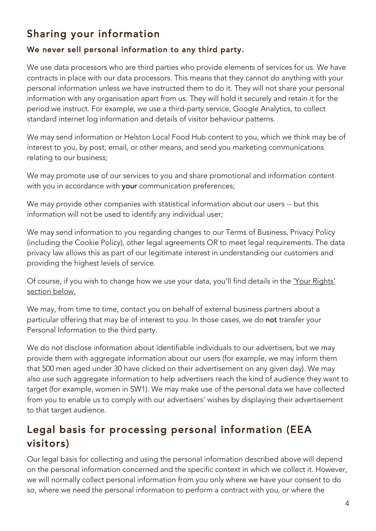## <span id="page-3-0"></span>Sharing your information

#### We never sell personal information to any third party.

We use data processors who are third parties who provide elements of services for us. We have contracts in place with our data processors. This means that they cannot do anything with your personal information unless we have instructed them to do it. They will not share your personal information with any organisation apart from us. They will hold it securely and retain it for the period we instruct. For example, we use a third-party service, Google Analytics, to collect standard internet log information and details of visitor behaviour patterns.

We may send information or Helston Local Food Hub content to you, which we think may be of interest to you, by post, email, or other means, and send you marketing communications relating to our business;

We may promote use of our services to you and share promotional and information content with you in accordance with your communication preferences;

We may provide other companies with statistical information about our users -- but this information will not be used to identify any individual user;

We may send information to you regarding changes to our Terms of Business, Privacy Policy (including the Cookie Policy), other legal agreements OR to meet legal requirements. The data privacy law allows this as part of our legitimate interest in understanding our customers and providing the highest levels of service.

Of course, if you wish to change how we use your data, you'll find details in the 'Your Rights' section below.

We may, from time to time, contact you on behalf of external business partners about a particular offering that may be of interest to you. In those cases, we do not transfer your Personal Information to the third party.

We do not disclose information about identifiable individuals to our advertisers, but we may provide them with aggregate information about our users (for example, we may inform them that 500 men aged under 30 have clicked on their advertisement on any given day). We may also use such aggregate information to help advertisers reach the kind of audience they want to target (for example, women in SW1). We may make use of the personal data we have collected from you to enable us to comply with our advertisers' wishes by displaying their advertisement to that target audience.

#### Legal basis for processing personal information (EEA visitors)

Our legal basis for collecting and using the personal information described above will depend on the personal information concerned and the specific context in which we collect it. However, we will normally collect personal information from you only where we have your consent to do so, where we need the personal information to perform a contract with you, or where the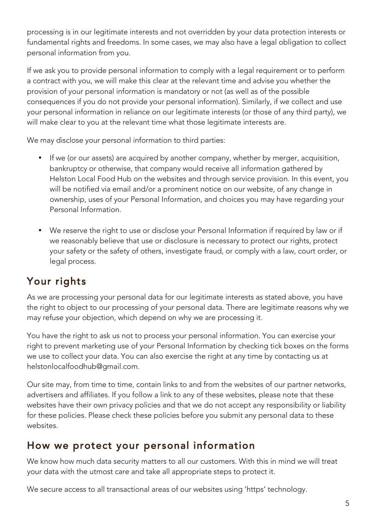<span id="page-4-0"></span>processing is in our legitimate interests and not overridden by your data protection interests or fundamental rights and freedoms. In some cases, we may also have a legal obligation to collect personal information from you.

If we ask you to provide personal information to comply with a legal requirement or to perform a contract with you, we will make this clear at the relevant time and advise you whether the provision of your personal information is mandatory or not (as well as of the possible consequences if you do not provide your personal information). Similarly, if we collect and use your personal information in reliance on our legitimate interests (or those of any third party), we will make clear to you at the relevant time what those legitimate interests are.

We may disclose your personal information to third parties:

- If we (or our assets) are acquired by another company, whether by merger, acquisition, bankruptcy or otherwise, that company would receive all information gathered by Helston Local Food Hub on the websites and through service provision. In this event, you will be notified via email and/or a prominent notice on our website, of any change in ownership, uses of your Personal Information, and choices you may have regarding your Personal Information.
- We reserve the right to use or disclose your Personal Information if required by law or if we reasonably believe that use or disclosure is necessary to protect our rights, protect your safety or the safety of others, investigate fraud, or comply with a law, court order, or legal process.

### Your rights

As we are processing your personal data for our legitimate interests as stated above, you have the right to object to our processing of your personal data. There are legitimate reasons why we may refuse your objection, which depend on why we are processing it.

You have the right to ask us not to process your personal information. You can exercise your right to prevent marketing use of your Personal Information by checking tick boxes on the forms we use to collect your data. You can also exercise the right at any time by contacting us at helstonlocalfoodhub@gmail.com.

Our site may, from time to time, contain links to and from the websites of our partner networks, advertisers and affiliates. If you follow a link to any of these websites, please note that these websites have their own privacy policies and that we do not accept any responsibility or liability for these policies. Please check these policies before you submit any personal data to these websites.

#### How we protect your personal information

We know how much data security matters to all our customers. With this in mind we will treat your data with the utmost care and take all appropriate steps to protect it.

We secure access to all transactional areas of our websites using 'https' technology.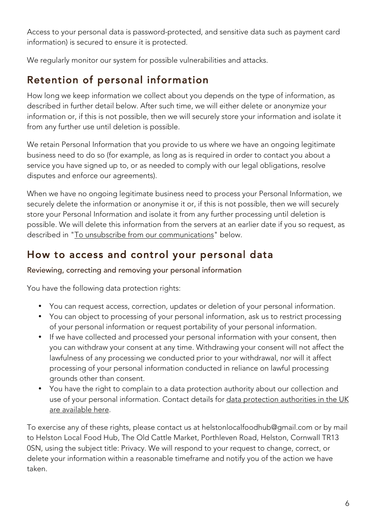<span id="page-5-0"></span>Access to your personal data is password-protected, and sensitive data such as payment card information) is secured to ensure it is protected.

We regularly monitor our system for possible vulnerabilities and attacks.

## Retention of personal information

How long we keep information we collect about you depends on the type of information, as described in further detail below. After such time, we will either delete or anonymize your information or, if this is not possible, then we will securely store your information and isolate it from any further use until deletion is possible.

We retain Personal Information that you provide to us where we have an ongoing legitimate business need to do so (for example, as long as is required in order to contact you about a service you have signed up to, or as needed to comply with our legal obligations, resolve disputes and enforce our agreements).

When we have no ongoing legitimate business need to process your Personal Information, we securely delete the information or anonymise it or, if this is not possible, then we will securely store your Personal Information and isolate it from any further processing until deletion is possible. We will delete this information from the servers at an earlier date if you so request, as described in "To unsubscribe from our communications" below.

#### How to access and control your personal data

Reviewing, correcting and removing your personal information

You have the following data protection rights:

- You can request access, correction, updates or deletion of your personal information.
- You can object to processing of your personal information, ask us to restrict processing of your personal information or request portability of your personal information.
- If we have collected and processed your personal information with your consent, then you can withdraw your consent at any time. Withdrawing your consent will not affect the lawfulness of any processing we conducted prior to your withdrawal, nor will it affect processing of your personal information conducted in reliance on lawful processing grounds other than consent.
- You have the right to complain to a data protection authority about our collection and use of your personal information. Contact details for data protection authorities in the UK are available here.

To exercise any of these rights, please contact us at helstonlocalfoodhub@gmail.com or by mail to Helston Local Food Hub, The Old Cattle Market, Porthleven Road, Helston, Cornwall TR13 0SN, using the subject title: Privacy. We will respond to your request to change, correct, or delete your information within a reasonable timeframe and notify you of the action we have taken.